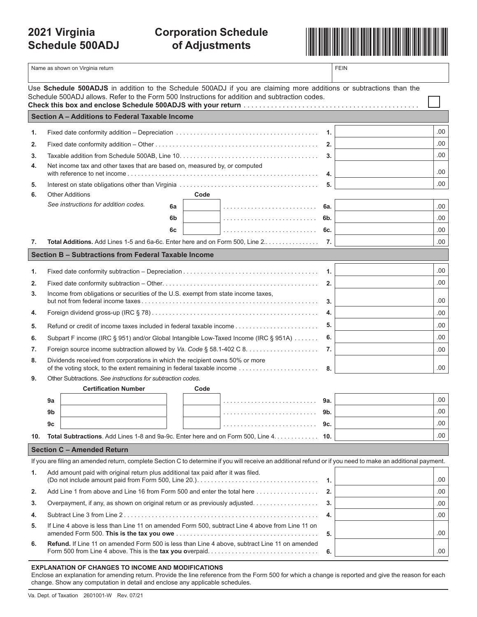## **2021 Virginia Schedule 500ADJ**

# **Corporation Schedule**



|                                                                                                                                                                                                                       | Name as shown on Virginia return                                                                                                                                                                                                                 |                | <b>FEIN</b> |      |            |  |  |  |
|-----------------------------------------------------------------------------------------------------------------------------------------------------------------------------------------------------------------------|--------------------------------------------------------------------------------------------------------------------------------------------------------------------------------------------------------------------------------------------------|----------------|-------------|------|------------|--|--|--|
| Use Schedule 500ADJS in addition to the Schedule 500ADJ if you are claiming more additions or subtractions than the<br>Schedule 500ADJ allows. Refer to the Form 500 Instructions for addition and subtraction codes. |                                                                                                                                                                                                                                                  |                |             |      |            |  |  |  |
| Section A - Additions to Federal Taxable Income                                                                                                                                                                       |                                                                                                                                                                                                                                                  |                |             |      |            |  |  |  |
| 1.                                                                                                                                                                                                                    |                                                                                                                                                                                                                                                  | $\mathbf{1}$ . | .00.        |      |            |  |  |  |
| 2.                                                                                                                                                                                                                    |                                                                                                                                                                                                                                                  | 2.             | .00.        |      |            |  |  |  |
| 3.                                                                                                                                                                                                                    |                                                                                                                                                                                                                                                  | 3.             | .00         |      |            |  |  |  |
| 4.                                                                                                                                                                                                                    | Net income tax and other taxes that are based on, measured by, or computed                                                                                                                                                                       | 4.             | .00         |      |            |  |  |  |
| 5.                                                                                                                                                                                                                    |                                                                                                                                                                                                                                                  | 5.             | .00.        |      |            |  |  |  |
| 6.                                                                                                                                                                                                                    | <b>Other Additions</b>                                                                                                                                                                                                                           | Code           |             |      |            |  |  |  |
|                                                                                                                                                                                                                       | See instructions for addition codes.                                                                                                                                                                                                             | 6a             |             | 6а.  | .00        |  |  |  |
|                                                                                                                                                                                                                       |                                                                                                                                                                                                                                                  | 6b             |             | 6b.  | .00        |  |  |  |
|                                                                                                                                                                                                                       |                                                                                                                                                                                                                                                  | 6c             |             | 6c.  | .00        |  |  |  |
| 7.                                                                                                                                                                                                                    | Total Additions. Add Lines 1-5 and 6a-6c. Enter here and on Form 500, Line 2                                                                                                                                                                     |                |             | 7.   | .00.       |  |  |  |
|                                                                                                                                                                                                                       | Section B - Subtractions from Federal Taxable Income                                                                                                                                                                                             |                |             |      |            |  |  |  |
| 1.                                                                                                                                                                                                                    |                                                                                                                                                                                                                                                  |                |             | 1.   | .00.       |  |  |  |
| 2.                                                                                                                                                                                                                    |                                                                                                                                                                                                                                                  |                |             | 2.   | .00        |  |  |  |
| 3.                                                                                                                                                                                                                    | Income from obligations or securities of the U.S. exempt from state income taxes,                                                                                                                                                                |                |             | .00. |            |  |  |  |
| 4.                                                                                                                                                                                                                    |                                                                                                                                                                                                                                                  | 3.<br>4.       | .00         |      |            |  |  |  |
| 5.                                                                                                                                                                                                                    |                                                                                                                                                                                                                                                  | 5.             | .00.        |      |            |  |  |  |
| 6.                                                                                                                                                                                                                    | Subpart F income (IRC § 951) and/or Global Intangible Low-Taxed Income (IRC § 951A)                                                                                                                                                              | 6.             | .00.        |      |            |  |  |  |
| 7.                                                                                                                                                                                                                    |                                                                                                                                                                                                                                                  | 7.             | .00.        |      |            |  |  |  |
| 8.                                                                                                                                                                                                                    | Dividends received from corporations in which the recipient owns 50% or more                                                                                                                                                                     |                |             |      |            |  |  |  |
|                                                                                                                                                                                                                       | of the voting stock, to the extent remaining in federal taxable income<br>.00<br>8.                                                                                                                                                              |                |             |      |            |  |  |  |
| 9.                                                                                                                                                                                                                    | Other Subtractions. See instructions for subtraction codes.                                                                                                                                                                                      |                |             |      |            |  |  |  |
|                                                                                                                                                                                                                       | <b>Certification Number</b>                                                                                                                                                                                                                      | Code           |             |      |            |  |  |  |
|                                                                                                                                                                                                                       | 9a                                                                                                                                                                                                                                               |                |             | 9а.  | .00        |  |  |  |
|                                                                                                                                                                                                                       | 9 <sub>b</sub>                                                                                                                                                                                                                                   |                |             | 9b.  | 00.<br>.00 |  |  |  |
|                                                                                                                                                                                                                       | 9c<br>Total Subtractions. Add Lines 1-8 and 9a-9c. Enter here and on Form 500, Line 4. 10.                                                                                                                                                       |                |             |      | .00.       |  |  |  |
| 10.                                                                                                                                                                                                                   |                                                                                                                                                                                                                                                  |                |             |      |            |  |  |  |
|                                                                                                                                                                                                                       | <b>Section C - Amended Return</b>                                                                                                                                                                                                                |                |             |      |            |  |  |  |
| 1.                                                                                                                                                                                                                    | If you are filing an amended return, complete Section C to determine if you will receive an additional refund or if you need to make an additional payment.<br>Add amount paid with original return plus additional tax paid after it was filed. |                |             |      |            |  |  |  |
|                                                                                                                                                                                                                       |                                                                                                                                                                                                                                                  | $\mathbf{1}$ . | .00         |      |            |  |  |  |
| 2.                                                                                                                                                                                                                    | Add Line 1 from above and Line 16 from Form 500 and enter the total here                                                                                                                                                                         | 2.             | .00         |      |            |  |  |  |
| 3.                                                                                                                                                                                                                    | Overpayment, if any, as shown on original return or as previously adjusted.                                                                                                                                                                      | 3.             | .00         |      |            |  |  |  |
| 4.                                                                                                                                                                                                                    |                                                                                                                                                                                                                                                  | 4.             | .00.        |      |            |  |  |  |
| 5.                                                                                                                                                                                                                    | If Line 4 above is less than Line 11 on amended Form 500, subtract Line 4 above from Line 11 on<br>.00<br>5.                                                                                                                                     |                |             |      |            |  |  |  |
| 6.                                                                                                                                                                                                                    | Refund. If Line 11 on amended Form 500 is less than Line 4 above, subtract Line 11 on amended                                                                                                                                                    |                |             |      |            |  |  |  |

| <b>EXPLANATION OF CHANGES TO INCOME AND MODIFICATIONS</b> |  |  |
|-----------------------------------------------------------|--|--|
|                                                           |  |  |

Enclose an explanation for amending return. Provide the line reference from the Form 500 for which a change is reported and give the reason for each change. Show any computation in detail and enclose any applicable schedules.

Form 500 from Line 4 above. This is the **tax you o**verpaid. . . . . . . . . . . . . . . . . . . . . . . . . . . . . . . **6.**.00